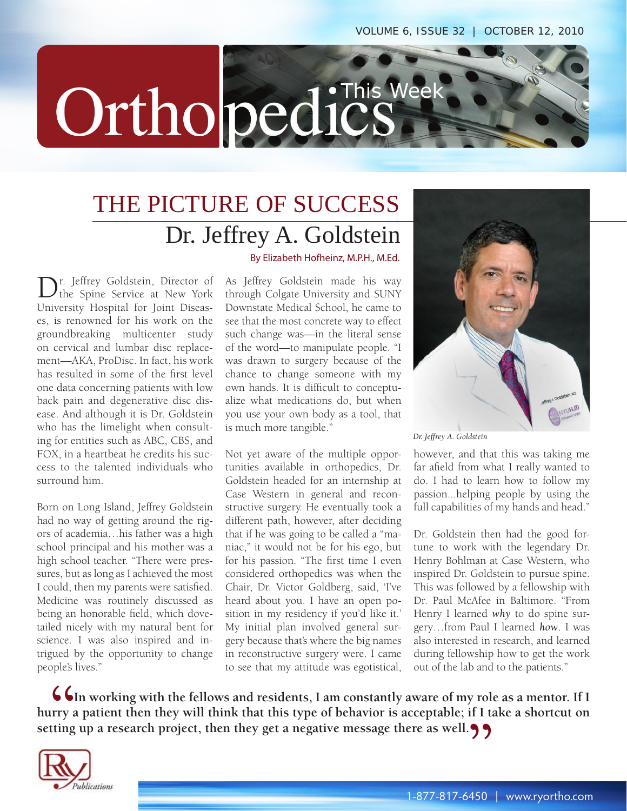

## THE PICTURE OF SUCCESS Dr. Jeffrey A. Goldstein

By Elizabeth Hofheinz, M.P.H., M.Ed.

Dr. Jeffrey Goldstein, Director of the Spine Service at New York University Hospital for Joint Diseases, is renowned for his work on the groundbreaking multicenter study on cervical and lumbar disc replacement—AKA, ProDisc. In fact, his work has resulted in some of the first level one data concerning patients with low back pain and degenerative disc disease. And although it is Dr. Goldstein who has the limelight when consulting for entities such as ABC, CBS, and FOX, in a heartbeat he credits his success to the talented individuals who surround him.

Born on Long Island, Jeffrey Goldstein had no way of getting around the rigors of academia…his father was a high school principal and his mother was a high school teacher. "There were pressures, but as long as I achieved the most I could, then my parents were satisfied. Medicine was routinely discussed as being an honorable field, which dovetailed nicely with my natural bent for science. I was also inspired and intrigued by the opportunity to change people's lives."

As Jeffrey Goldstein made his way through Colgate University and SUNY Downstate Medical School, he came to see that the most concrete way to effect such change was—in the literal sense of the word—to manipulate people. "I was drawn to surgery because of the chance to change someone with my own hands. It is difficult to conceptualize what medications do, but when you use your own body as a tool, that is much more tangible."

Not yet aware of the multiple opportunities available in orthopedics, Dr. Goldstein headed for an internship at Case Western in general and reconstructive surgery. He eventually took a different path, however, after deciding that if he was going to be called a "maniac," it would not be for his ego, but for his passion. "The first time I even considered orthopedics was when the Chair, Dr. Victor Goldberg, said, 'I've heard about you. I have an open position in my residency if you'd like it.' My initial plan involved general surgery because that's where the big names in reconstructive surgery were. I came to see that my attitude was egotistical,



*Dr. Jeffrey A. Goldstein*

however, and that this was taking me far afield from what I really wanted to do. I had to learn how to follow my passion...helping people by using the full capabilities of my hands and head."

Dr. Goldstein then had the good fortune to work with the legendary Dr. Henry Bohlman at Case Western, who inspired Dr. Goldstein to pursue spine. This was followed by a fellowship with Dr. Paul McAfee in Baltimore. "From Henry I learned *why* to do spine surgery…from Paul I learned *how*. I was also interested in research, and learned during fellowship how to get the work out of the lab and to the patients."

**In working with the fellows and residents, I am constantly aware of my role as a mentor. If I hurry a patient then they will think that this type of behavior is acceptable; if I take a shortcut on**  setting up a research project, then they get a negative message there as well. **(1) "**  $\left\{ \begin{array}{c} \mathbf{C} \\ \mathbf{C} \end{array} \right\}$  ting

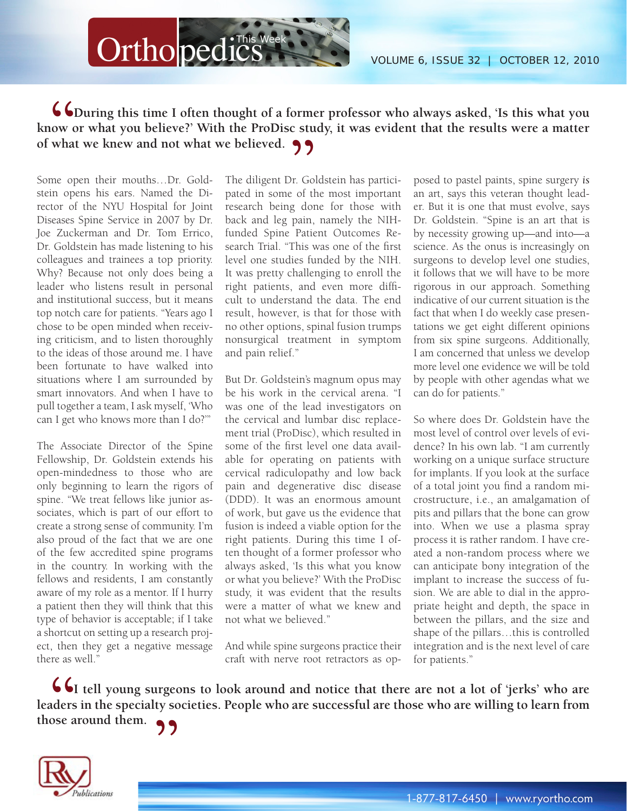

## **During this time I often thought of a former professor who always asked, 'Is this what you know or what you believe?' With the ProDisc study, it was evident that the results were a matter of what we knew and not what we believed.**<br> **Some open their mouths...Dr.** Gold-<br>
The diligent Dr. Gol **66**<br> **S**<br> **What**

Some open their mouths…Dr. Goldstein opens his ears. Named the Director of the NYU Hospital for Joint Diseases Spine Service in 2007 by Dr. Joe Zuckerman and Dr. Tom Errico, Dr. Goldstein has made listening to his colleagues and trainees a top priority. Why? Because not only does being a leader who listens result in personal and institutional success, but it means top notch care for patients. "Years ago I chose to be open minded when receiving criticism, and to listen thoroughly to the ideas of those around me. I have been fortunate to have walked into situations where I am surrounded by smart innovators. And when I have to pull together a team, I ask myself, 'Who can I get who knows more than I do?'"

The Associate Director of the Spine Fellowship, Dr. Goldstein extends his open-mindedness to those who are only beginning to learn the rigors of spine. "We treat fellows like junior associates, which is part of our effort to create a strong sense of community. I'm also proud of the fact that we are one of the few accredited spine programs in the country. In working with the fellows and residents, I am constantly aware of my role as a mentor. If I hurry a patient then they will think that this type of behavior is acceptable; if I take a shortcut on setting up a research project, then they get a negative message there as well."

The diligent Dr. Goldstein has participated in some of the most important research being done for those with back and leg pain, namely the NIHfunded Spine Patient Outcomes Research Trial. "This was one of the first level one studies funded by the NIH. It was pretty challenging to enroll the right patients, and even more difficult to understand the data. The end result, however, is that for those with no other options, spinal fusion trumps nonsurgical treatment in symptom and pain relief."

But Dr. Goldstein's magnum opus may be his work in the cervical arena. "I was one of the lead investigators on the cervical and lumbar disc replacement trial (ProDisc), which resulted in some of the first level one data available for operating on patients with cervical radiculopathy and low back pain and degenerative disc disease (DDD). It was an enormous amount of work, but gave us the evidence that fusion is indeed a viable option for the right patients. During this time I often thought of a former professor who always asked, 'Is this what you know or what you believe?' With the ProDisc study, it was evident that the results were a matter of what we knew and not what we believed."

And while spine surgeons practice their craft with nerve root retractors as op-

posed to pastel paints, spine surgery *is* an art, says this veteran thought leader. But it is one that must evolve, says Dr. Goldstein. "Spine is an art that is by necessity growing up—and into—a science. As the onus is increasingly on surgeons to develop level one studies, it follows that we will have to be more rigorous in our approach. Something indicative of our current situation is the fact that when I do weekly case presentations we get eight different opinions from six spine surgeons. Additionally, I am concerned that unless we develop more level one evidence we will be told by people with other agendas what we can do for patients."

So where does Dr. Goldstein have the most level of control over levels of evidence? In his own lab. "I am currently working on a unique surface structure for implants. If you look at the surface of a total joint you find a random microstructure, i.e., an amalgamation of pits and pillars that the bone can grow into. When we use a plasma spray process it is rather random. I have created a non-random process where we can anticipate bony integration of the implant to increase the success of fusion. We are able to dial in the appropriate height and depth, the space in between the pillars, and the size and shape of the pillars…this is controlled integration and is the next level of care for patients."

**I tell young surgeons to look around and notice that there are not a lot of 'jerks' who are leaders in the specialty societies. People who are successful are those who are willing to learn from those around them. 66**<br>aders<br>ose a **"**